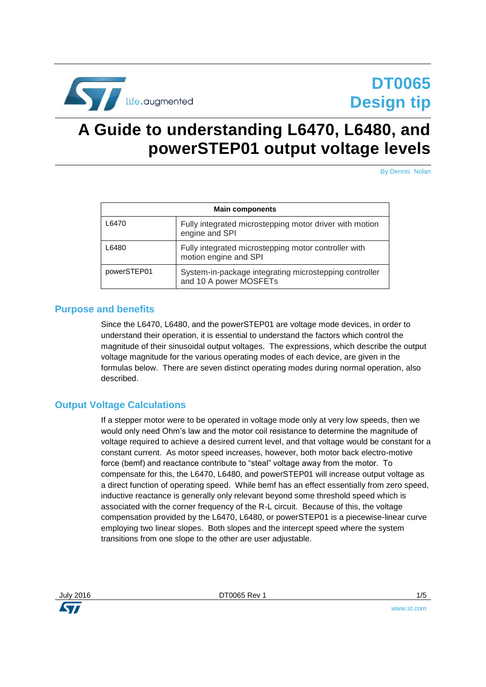

# <span id="page-0-0"></span>**A Guide to understanding L6470, L6480, and powerSTEP01 output voltage levels**

By Dennis Nolan

| <b>Main components</b> |                                                                                  |  |
|------------------------|----------------------------------------------------------------------------------|--|
| L6470                  | Fully integrated microstepping motor driver with motion<br>engine and SPI        |  |
| L6480                  | Fully integrated microstepping motor controller with<br>motion engine and SPI    |  |
| powerSTEP01            | System-in-package integrating microstepping controller<br>and 10 A power MOSFETs |  |

#### **Purpose and benefits**

Since the L6470, L6480, and the powerSTEP01 are voltage mode devices, in order to understand their operation, it is essential to understand the factors which control the magnitude of their sinusoidal output voltages. The expressions, which describe the output voltage magnitude for the various operating modes of each device, are given in the formulas below. There are seven distinct operating modes during normal operation, also described.

## **Output Voltage Calculations**

If a stepper motor were to be operated in voltage mode only at very low speeds, then we would only need Ohm's law and the motor coil resistance to determine the magnitude of voltage required to achieve a desired current level, and that voltage would be constant for a constant current. As motor speed increases, however, both motor back electro-motive force (bemf) and reactance contribute to "steal" voltage away from the motor. To compensate for this, the L6470, L6480, and powerSTEP01 will increase output voltage as a direct function of operating speed. While bemf has an effect essentially from zero speed, inductive reactance is generally only relevant beyond some threshold speed which is associated with the corner frequency of the R-L circuit. Because of this, the voltage compensation provided by the L6470, L6480, or powerSTEP01 is a piecewise-linear curve employing two linear slopes. Both slopes and the intercept speed where the system transitions from one slope to the other are user adjustable.



July 2016 [DT0065](#page-0-0) Rev 1 1/5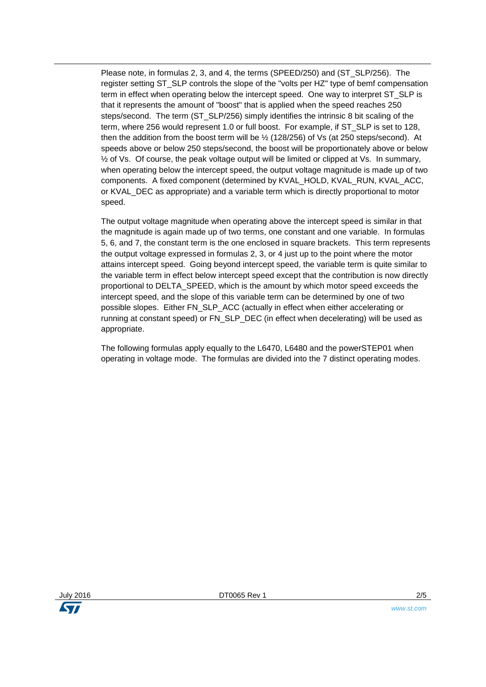Please note, in formulas 2, 3, and 4, the terms (SPEED/250) and (ST\_SLP/256). The register setting ST\_SLP controls the slope of the "volts per HZ" type of bemf compensation term in effect when operating below the intercept speed. One way to interpret ST\_SLP is that it represents the amount of "boost" that is applied when the speed reaches 250 steps/second. The term (ST\_SLP/256) simply identifies the intrinsic 8 bit scaling of the term, where 256 would represent 1.0 or full boost. For example, if ST\_SLP is set to 128, then the addition from the boost term will be  $\frac{1}{2}$  (128/256) of Vs (at 250 steps/second). At speeds above or below 250 steps/second, the boost will be proportionately above or below  $\frac{1}{2}$  of Vs. Of course, the peak voltage output will be limited or clipped at Vs. In summary, when operating below the intercept speed, the output voltage magnitude is made up of two components. A fixed component (determined by KVAL\_HOLD, KVAL\_RUN, KVAL\_ACC, or KVAL\_DEC as appropriate) and a variable term which is directly proportional to motor speed.

The output voltage magnitude when operating above the intercept speed is similar in that the magnitude is again made up of two terms, one constant and one variable. In formulas 5, 6, and 7, the constant term is the one enclosed in square brackets. This term represents the output voltage expressed in formulas 2, 3, or 4 just up to the point where the motor attains intercept speed. Going beyond intercept speed, the variable term is quite similar to the variable term in effect below intercept speed except that the contribution is now directly proportional to DELTA\_SPEED, which is the amount by which motor speed exceeds the intercept speed, and the slope of this variable term can be determined by one of two possible slopes. Either FN\_SLP\_ACC (actually in effect when either accelerating or running at constant speed) or FN\_SLP\_DEC (in effect when decelerating) will be used as appropriate.

The following formulas apply equally to the L6470, L6480 and the powerSTEP01 when operating in voltage mode. The formulas are divided into the 7 distinct operating modes.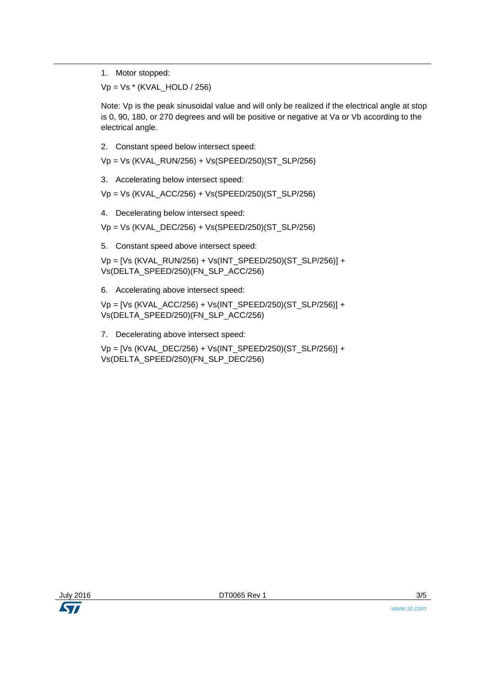1. Motor stopped:

Vp = Vs \* (KVAL\_HOLD / 256)

Note: Vp is the peak sinusoidal value and will only be realized if the electrical angle at stop is 0, 90, 180, or 270 degrees and will be positive or negative at Va or Vb according to the electrical angle.

2. Constant speed below intersect speed:

Vp = Vs (KVAL\_RUN/256) + Vs(SPEED/250)(ST\_SLP/256)

3. Accelerating below intersect speed:

Vp = Vs (KVAL\_ACC/256) + Vs(SPEED/250)(ST\_SLP/256)

4. Decelerating below intersect speed:

Vp = Vs (KVAL\_DEC/256) + Vs(SPEED/250)(ST\_SLP/256)

5. Constant speed above intersect speed:

Vp = [Vs (KVAL\_RUN/256) + Vs(INT\_SPEED/250)(ST\_SLP/256)] + Vs(DELTA\_SPEED/250)(FN\_SLP\_ACC/256)

6. Accelerating above intersect speed:

Vp = [Vs (KVAL\_ACC/256) + Vs(INT\_SPEED/250)(ST\_SLP/256)] + Vs(DELTA\_SPEED/250)(FN\_SLP\_ACC/256)

7. Decelerating above intersect speed:

Vp = [Vs (KVAL\_DEC/256) + Vs(INT\_SPEED/250)(ST\_SLP/256)] + Vs(DELTA\_SPEED/250)(FN\_SLP\_DEC/256)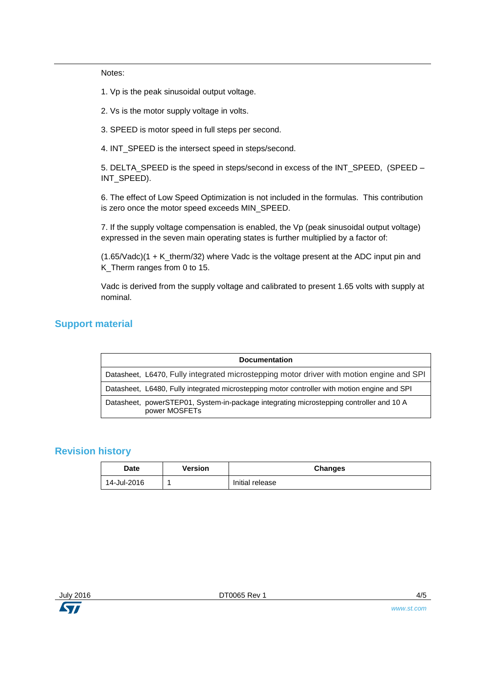Notes:

1. Vp is the peak sinusoidal output voltage.

2. Vs is the motor supply voltage in volts.

3. SPEED is motor speed in full steps per second.

4. INT\_SPEED is the intersect speed in steps/second.

5. DELTA\_SPEED is the speed in steps/second in excess of the INT\_SPEED, (SPEED – INT\_SPEED).

6. The effect of Low Speed Optimization is not included in the formulas. This contribution is zero once the motor speed exceeds MIN\_SPEED.

7. If the supply voltage compensation is enabled, the Vp (peak sinusoidal output voltage) expressed in the seven main operating states is further multiplied by a factor of:

 $(1.65/Vadc)(1 + K$  therm/32) where Vadc is the voltage present at the ADC input pin and K\_Therm ranges from 0 to 15.

Vadc is derived from the supply voltage and calibrated to present 1.65 volts with supply at nominal.

## **Support material**

| <b>Documentation</b>                                                                                     |  |  |
|----------------------------------------------------------------------------------------------------------|--|--|
| Datasheet, L6470, Fully integrated microstepping motor driver with motion engine and SPI                 |  |  |
| Datasheet, L6480, Fully integrated microstepping motor controller with motion engine and SPI             |  |  |
| Datasheet, powerSTEP01, System-in-package integrating microstepping controller and 10 A<br>power MOSFETs |  |  |

#### **Revision history**

| <b>Date</b> | Version | <b>Changes</b>  |
|-------------|---------|-----------------|
| 14-Jul-2016 |         | Initial release |